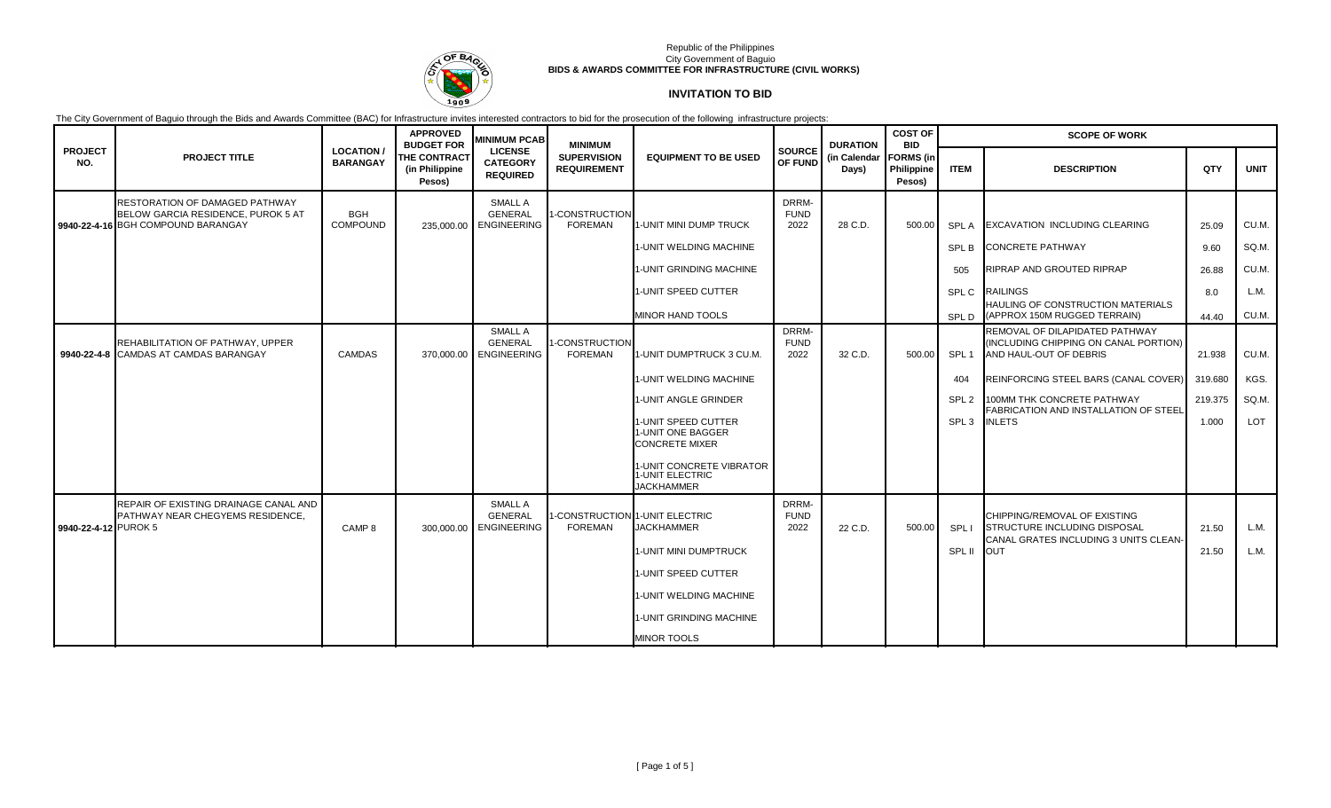

# **INVITATION TO BID**

|                       |                                                                                  |                                    | <b>APPROVED</b><br><b>BUDGET FOR</b>            | <b>MINIMUM PCAB</b>                                    | <b>MINIMUM</b>                                   |                                                                    |                                 | <b>DURATION</b>       | <b>COST OF</b><br><b>BID</b>             | <b>SCOPE OF WORK</b> |                                                                                                   |         |             |  |
|-----------------------|----------------------------------------------------------------------------------|------------------------------------|-------------------------------------------------|--------------------------------------------------------|--------------------------------------------------|--------------------------------------------------------------------|---------------------------------|-----------------------|------------------------------------------|----------------------|---------------------------------------------------------------------------------------------------|---------|-------------|--|
| <b>PROJECT</b><br>NO. | <b>PROJECT TITLE</b>                                                             | <b>LOCATION</b><br><b>BARANGAY</b> | <b>THE CONTRACT</b><br>(in Philippine<br>Pesos) | <b>LICENSE</b><br><b>CATEGORY</b><br><b>REQUIRED</b>   | <b>SUPERVISION</b><br><b>REQUIREMENT</b>         | <b>EQUIPMENT TO BE USED</b>                                        | <b>SOURCE</b><br><b>OF FUND</b> | (in Calendar<br>Days) | <b>FORMS</b> (in<br>Philippine<br>Pesos) | <b>ITEM</b>          | <b>DESCRIPTION</b>                                                                                | QTY     | <b>UNIT</b> |  |
|                       | RESTORATION OF DAMAGED PATHWAY                                                   |                                    |                                                 | SMALL A                                                |                                                  |                                                                    | DRRM-                           |                       |                                          |                      |                                                                                                   |         |             |  |
|                       | BELOW GARCIA RESIDENCE, PUROK 5 AT<br>9940-22-4-16 BGH COMPOUND BARANGAY         | <b>BGH</b><br><b>COMPOUND</b>      |                                                 | <b>GENERAL</b><br>235,000.00 ENGINEERING               | 1-CONSTRUCTION<br><b>FOREMAN</b>                 | 1-UNIT MINI DUMP TRUCK                                             | <b>FUND</b><br>2022             | 28 C.D.               | 500.00                                   | <b>SPLA</b>          | <b>EXCAVATION INCLUDING CLEARING</b>                                                              | 25.09   | CU.M.       |  |
|                       |                                                                                  |                                    |                                                 |                                                        |                                                  | 1-UNIT WELDING MACHINE                                             |                                 |                       |                                          | SPL B                | <b>CONCRETE PATHWAY</b>                                                                           | 9.60    | SQ.M.       |  |
|                       |                                                                                  |                                    |                                                 |                                                        |                                                  | 1-UNIT GRINDING MACHINE                                            |                                 |                       |                                          | 505                  | RIPRAP AND GROUTED RIPRAP                                                                         | 26.88   | CU.M.       |  |
|                       |                                                                                  |                                    |                                                 |                                                        |                                                  | 1-UNIT SPEED CUTTER                                                |                                 |                       |                                          | SPL C                | <b>RAILINGS</b>                                                                                   | 8.0     | L.M.        |  |
|                       |                                                                                  |                                    |                                                 |                                                        |                                                  | MINOR HAND TOOLS                                                   |                                 |                       |                                          | SPL D                | <b>HAULING OF CONSTRUCTION MATERIALS</b><br>(APPROX 150M RUGGED TERRAIN)                          | 44.40   | CU.M.       |  |
|                       | REHABILITATION OF PATHWAY, UPPER<br>9940-22-4-8 CAMDAS AT CAMDAS BARANGAY        | CAMDAS                             |                                                 | SMALL A<br><b>GENERAL</b><br>370.000.00 ENGINEERING    | <b>I-CONSTRUCTION</b><br>FOREMAN                 | 1-UNIT DUMPTRUCK 3 CU.M                                            | DRRM-<br><b>FUND</b><br>2022    | 32 C.D.               | 500.00                                   | SPL <sub>1</sub>     | REMOVAL OF DILAPIDATED PATHWAY<br>(INCLUDING CHIPPING ON CANAL PORTION)<br>AND HAUL-OUT OF DEBRIS | 21.938  | CU.M.       |  |
|                       |                                                                                  |                                    |                                                 |                                                        |                                                  | 1-UNIT WELDING MACHINE                                             |                                 |                       |                                          | 404                  | REINFORCING STEEL BARS (CANAL COVER)                                                              | 319.680 | KGS.        |  |
|                       |                                                                                  |                                    |                                                 |                                                        |                                                  | 1-UNIT ANGLE GRINDER                                               |                                 |                       |                                          | SPL <sub>2</sub>     | 100MM THK CONCRETE PATHWAY<br>FABRICATION AND INSTALLATION OF STEEL                               | 219.375 | SQ.M.       |  |
|                       |                                                                                  |                                    |                                                 |                                                        |                                                  | l1-UNIT SPEED CUTTER<br>1-UNIT ONE BAGGER<br><b>CONCRETE MIXER</b> |                                 |                       |                                          | SPL <sub>3</sub>     | <b>INLETS</b>                                                                                     | 1.000   | LOT         |  |
|                       |                                                                                  |                                    |                                                 |                                                        |                                                  | 1-UNIT CONCRETE VIBRATOR<br>1-UNIT ELECTRIC<br><b>JACKHAMMER</b>   |                                 |                       |                                          |                      |                                                                                                   |         |             |  |
| 9940-22-4-12 PUROK 5  | REPAIR OF EXISTING DRAINAGE CANAL AND<br><b>PATHWAY NEAR CHEGYEMS RESIDENCE.</b> | CAMP <sub>8</sub>                  | 300,000.00                                      | <b>SMALL A</b><br><b>GENERAL</b><br><b>ENGINEERING</b> | I-CONSTRUCTION 1-UNIT ELECTRIC<br><b>FOREMAN</b> | <b>JACKHAMMER</b>                                                  | DRRM-<br><b>FUND</b><br>2022    | 22 C.D.               | 500.00                                   | SPL I                | CHIPPING/REMOVAL OF EXISTING<br><b>STRUCTURE INCLUDING DISPOSAL</b>                               | 21.50   | L.M.        |  |
|                       |                                                                                  |                                    |                                                 |                                                        |                                                  | 1-UNIT MINI DUMPTRUCK                                              |                                 |                       |                                          | SPL II               | CANAL GRATES INCLUDING 3 UNITS CLEAN-<br><b>OUT</b>                                               | 21.50   | L.M.        |  |
|                       |                                                                                  |                                    |                                                 |                                                        |                                                  | 1-UNIT SPEED CUTTER                                                |                                 |                       |                                          |                      |                                                                                                   |         |             |  |
|                       |                                                                                  |                                    |                                                 |                                                        |                                                  | 1-UNIT WELDING MACHINE                                             |                                 |                       |                                          |                      |                                                                                                   |         |             |  |
|                       |                                                                                  |                                    |                                                 |                                                        |                                                  | 1-UNIT GRINDING MACHINE                                            |                                 |                       |                                          |                      |                                                                                                   |         |             |  |
|                       |                                                                                  |                                    |                                                 |                                                        |                                                  | <b>MINOR TOOLS</b>                                                 |                                 |                       |                                          |                      |                                                                                                   |         |             |  |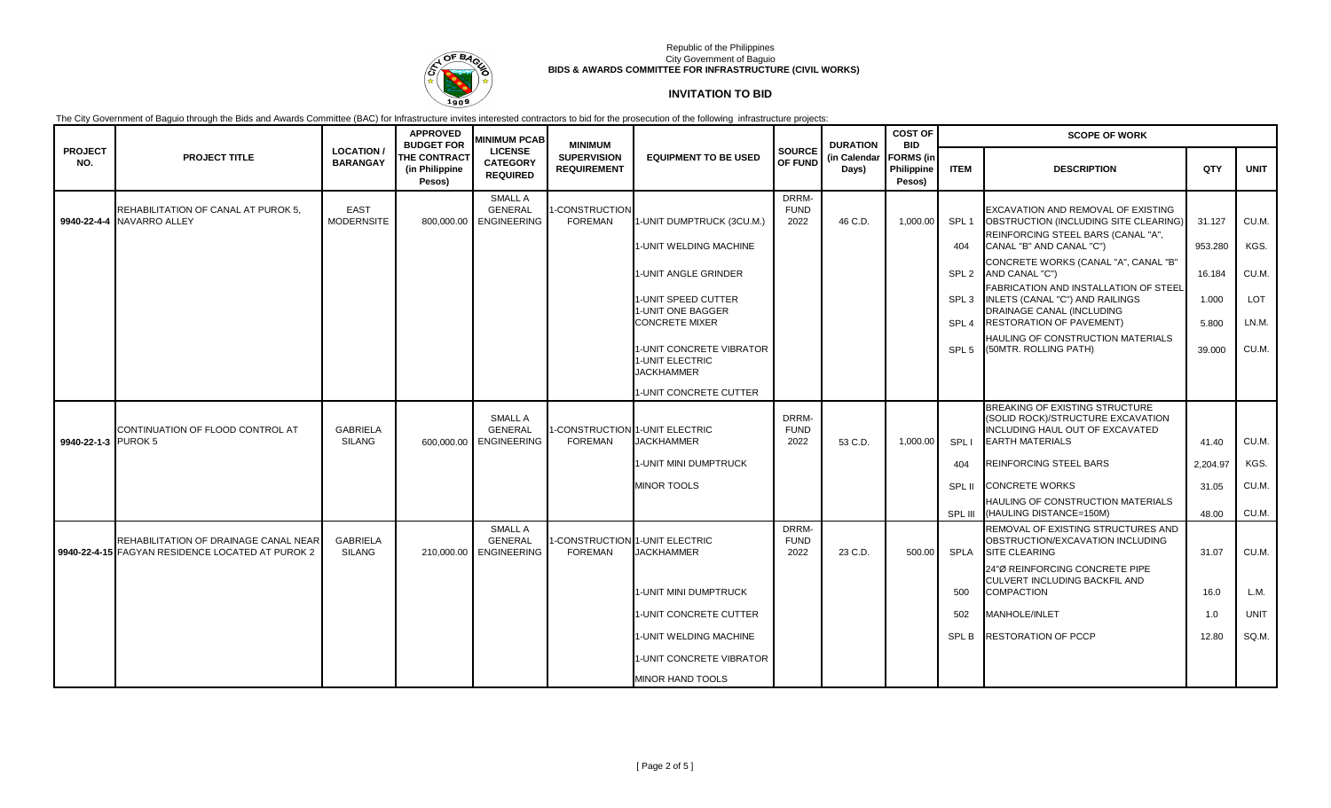

# **INVITATION TO BID**

|                       |                                                                                           |                                     | <b>APPROVED</b><br><b>BUDGET FOR</b>            | <b>MINIMUM PCAB</b>                                    | <b>MINIMUM</b>                           |                                                                  |                              | <b>DURATION</b>       | <b>COST OF</b><br><b>BID</b>             | <b>SCOPE OF WORK</b> |                                                                                                                                  |          |             |  |  |
|-----------------------|-------------------------------------------------------------------------------------------|-------------------------------------|-------------------------------------------------|--------------------------------------------------------|------------------------------------------|------------------------------------------------------------------|------------------------------|-----------------------|------------------------------------------|----------------------|----------------------------------------------------------------------------------------------------------------------------------|----------|-------------|--|--|
| <b>PROJECT</b><br>NO. | <b>PROJECT TITLE</b>                                                                      | <b>LOCATION/</b><br><b>BARANGAY</b> | <b>THE CONTRACT</b><br>(in Philippine<br>Pesos) | <b>LICENSE</b><br><b>CATEGORY</b><br><b>REQUIRED</b>   | <b>SUPERVISION</b><br><b>REQUIREMENT</b> | <b>EQUIPMENT TO BE USED</b>                                      | <b>SOURCE</b><br>OF FUND     | (in Calendar<br>Days) | <b>FORMS</b> (in<br>Philippine<br>Pesos) | <b>ITEM</b>          | <b>DESCRIPTION</b>                                                                                                               | QTY      | <b>UNIT</b> |  |  |
|                       | REHABILITATION OF CANAL AT PUROK 5,<br>9940-22-4-4 NAVARRO ALLEY                          | <b>EAST</b><br><b>MODERNSITE</b>    | 800.000.00                                      | SMALL A<br><b>GENERAL</b><br><b>ENGINEERING</b>        | -CONSTRUCTION<br><b>FOREMAN</b>          | 1-UNIT DUMPTRUCK (3CU.M.)                                        | DRRM-<br><b>FUND</b><br>2022 | 46 C.D.               | 1.000.00                                 | SPL <sub>1</sub>     | EXCAVATION AND REMOVAL OF EXISTING<br>OBSTRUCTION (INCLUDING SITE CLEARING)<br>REINFORCING STEEL BARS (CANAL "A",                | 31.127   | CU.M.       |  |  |
|                       |                                                                                           |                                     |                                                 |                                                        |                                          | 1-UNIT WELDING MACHINE                                           |                              |                       |                                          | 404                  | CANAL "B" AND CANAL "C")                                                                                                         | 953.280  | KGS.        |  |  |
|                       |                                                                                           |                                     |                                                 |                                                        |                                          | 1-UNIT ANGLE GRINDER                                             |                              |                       |                                          | SPL <sub>2</sub>     | CONCRETE WORKS (CANAL "A", CANAL "B"<br>AND CANAL "C")                                                                           | 16.184   | CU.M.       |  |  |
|                       |                                                                                           |                                     |                                                 |                                                        |                                          | 1-UNIT SPEED CUTTER<br>1-UNIT ONE BAGGER                         |                              |                       |                                          | SPL <sub>3</sub>     | <b>FABRICATION AND INSTALLATION OF STEEL</b><br>INLETS (CANAL "C") AND RAILINGS<br>DRAINAGE CANAL (INCLUDING                     | 1.000    | LOT         |  |  |
|                       |                                                                                           |                                     |                                                 |                                                        |                                          | <b>CONCRETE MIXER</b>                                            |                              |                       |                                          | SPL <sub>4</sub>     | <b>RESTORATION OF PAVEMENT)</b><br>HAULING OF CONSTRUCTION MATERIALS                                                             | 5.800    | LN.M.       |  |  |
|                       |                                                                                           |                                     |                                                 |                                                        |                                          | 1-UNIT CONCRETE VIBRATOR<br>1-UNIT ELECTRIC<br><b>JACKHAMMER</b> |                              |                       |                                          | SPL <sub>5</sub>     | (50MTR. ROLLING PATH)                                                                                                            | 39.000   | CU.M.       |  |  |
|                       |                                                                                           |                                     |                                                 |                                                        |                                          | 1-UNIT CONCRETE CUTTER                                           |                              |                       |                                          |                      |                                                                                                                                  |          |             |  |  |
| 9940-22-1-3 PUROK 5   | CONTINUATION OF FLOOD CONTROL AT                                                          | <b>GABRIELA</b><br><b>SILANG</b>    | 600,000.00                                      | <b>SMALL A</b><br><b>GENERAL</b><br><b>ENGINEERING</b> | <b>FOREMAN</b>                           | -CONSTRUCTION 1-UNIT ELECTRIC<br><b>JACKHAMMER</b>               | DRRM-<br><b>FUND</b><br>2022 | 53 C.D.               | 1,000.00                                 | SPL I                | BREAKING OF EXISTING STRUCTURE<br>(SOLID ROCK)/STRUCTURE EXCAVATION<br>INCLUDING HAUL OUT OF EXCAVATED<br><b>EARTH MATERIALS</b> | 41.40    | CU.M.       |  |  |
|                       |                                                                                           |                                     |                                                 |                                                        |                                          | 1-UNIT MINI DUMPTRUCK                                            |                              |                       |                                          | 404                  | <b>REINFORCING STEEL BARS</b>                                                                                                    | 2,204.97 | KGS.        |  |  |
|                       |                                                                                           |                                     |                                                 |                                                        |                                          | <b>MINOR TOOLS</b>                                               |                              |                       |                                          | SPL II               | <b>CONCRETE WORKS</b>                                                                                                            | 31.05    | CU.M.       |  |  |
|                       |                                                                                           |                                     |                                                 |                                                        |                                          |                                                                  |                              |                       |                                          | SPL III              | HAULING OF CONSTRUCTION MATERIALS<br>(HAULING DISTANCE=150M)                                                                     | 48.00    | CU.M.       |  |  |
|                       | REHABILITATION OF DRAINAGE CANAL NEAR<br>9940-22-4-15 FAGYAN RESIDENCE LOCATED AT PUROK 2 | <b>GABRIELA</b><br><b>SILANG</b>    | 210,000.00                                      | <b>SMALL A</b><br><b>GENERAL</b><br><b>ENGINEERING</b> | <b>FOREMAN</b>                           | -CONSTRUCTION 1-UNIT ELECTRIC<br><b>JACKHAMMER</b>               | DRRM-<br><b>FUND</b><br>2022 | 23 C.D.               | 500.00                                   | <b>SPLA</b>          | REMOVAL OF EXISTING STRUCTURES AND<br>OBSTRUCTION/EXCAVATION INCLUDING<br><b>SITE CLEARING</b>                                   | 31.07    | CU.M.       |  |  |
|                       |                                                                                           |                                     |                                                 |                                                        |                                          | 1-UNIT MINI DUMPTRUCK                                            |                              |                       |                                          | 500                  | 24"Ø REINFORCING CONCRETE PIPE<br>CULVERT INCLUDING BACKFIL AND<br><b>COMPACTION</b>                                             | 16.0     | L.M.        |  |  |
|                       |                                                                                           |                                     |                                                 |                                                        |                                          | 1-UNIT CONCRETE CUTTER                                           |                              |                       |                                          | 502                  | <b>MANHOLE/INLET</b>                                                                                                             | 1.0      | <b>UNIT</b> |  |  |
|                       |                                                                                           |                                     |                                                 |                                                        |                                          | 1-UNIT WELDING MACHINE                                           |                              |                       |                                          | <b>SPLB</b>          | <b>RESTORATION OF PCCP</b>                                                                                                       | 12.80    | SQ.M.       |  |  |
|                       |                                                                                           |                                     |                                                 |                                                        |                                          | 1-UNIT CONCRETE VIBRATOR                                         |                              |                       |                                          |                      |                                                                                                                                  |          |             |  |  |
|                       |                                                                                           |                                     |                                                 |                                                        |                                          | <b>MINOR HAND TOOLS</b>                                          |                              |                       |                                          |                      |                                                                                                                                  |          |             |  |  |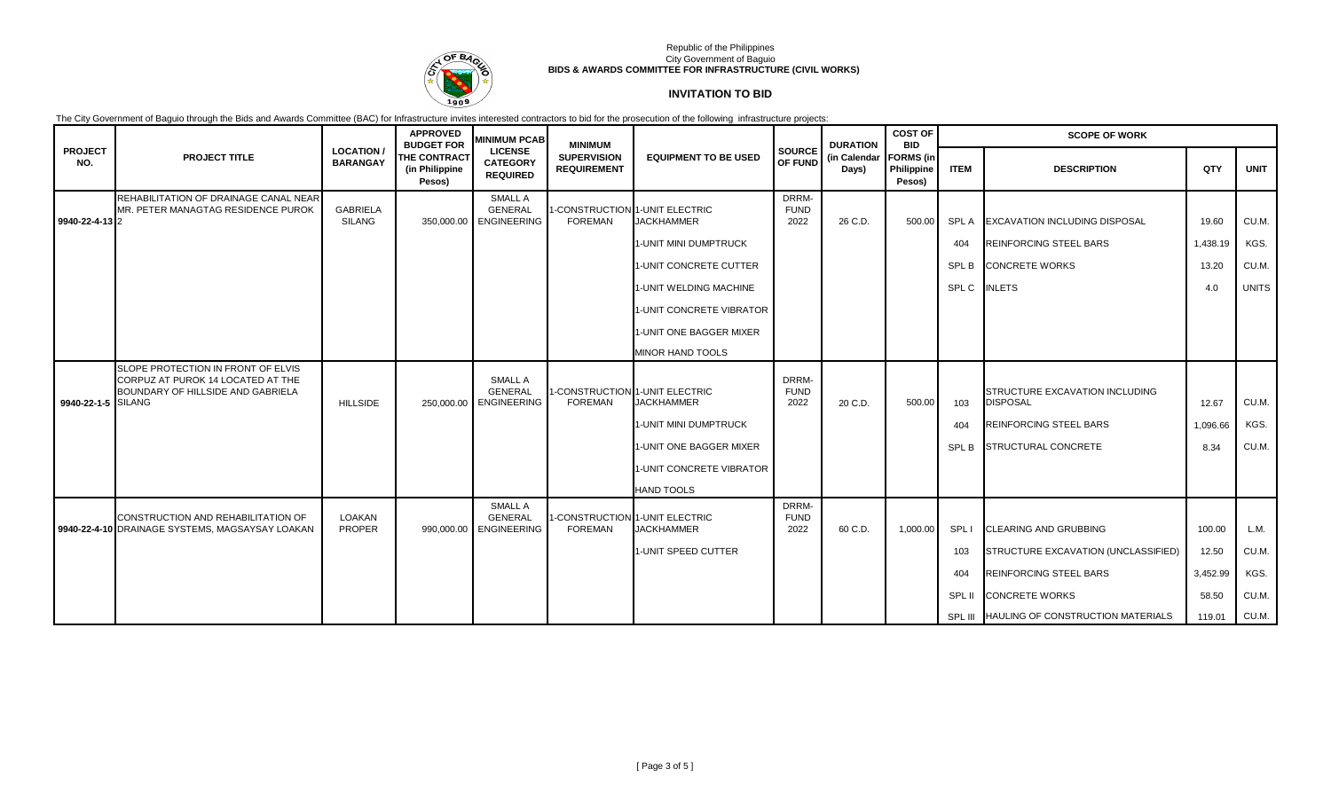

# **INVITATION TO BID**

|                       |                                                                                                              |                                     | <b>APPROVED</b><br><b>BUDGET FOR</b>            | <b>MINIMUM PCAB</b>                                  | <b>MINIMUM</b>                                   |                                                     |                              | <b>DURATION</b>       | <b>COST OF</b><br><b>BID</b>                    | <b>SCOPE OF WORK</b> |                                                   |          |              |
|-----------------------|--------------------------------------------------------------------------------------------------------------|-------------------------------------|-------------------------------------------------|------------------------------------------------------|--------------------------------------------------|-----------------------------------------------------|------------------------------|-----------------------|-------------------------------------------------|----------------------|---------------------------------------------------|----------|--------------|
| <b>PROJECT</b><br>NO. | <b>PROJECT TITLE</b>                                                                                         | <b>LOCATION/</b><br><b>BARANGAY</b> | <b>THE CONTRACT</b><br>(in Philippine<br>Pesos) | <b>LICENSE</b><br><b>CATEGORY</b><br><b>REQUIRED</b> | <b>SUPERVISION</b><br><b>REQUIREMENT</b>         | <b>EQUIPMENT TO BE USED</b>                         | <b>SOURCE</b><br>OF FUND     | (in Calendar<br>Days) | <b>FORMS</b> (in<br><b>Philippine</b><br>Pesos) | <b>ITEM</b>          | <b>DESCRIPTION</b>                                | QTY      | <b>UNIT</b>  |
|                       | REHABILITATION OF DRAINAGE CANAL NEAR<br>MR. PETER MANAGTAG RESIDENCE PUROK                                  | <b>GABRIELA</b>                     |                                                 | SMALL A<br><b>GENERAL</b>                            | 1-CONSTRUCTION 1-UNIT ELECTRIC                   |                                                     | DRRM-<br><b>FUND</b>         |                       |                                                 |                      |                                                   |          |              |
| 9940-22-4-13 2        |                                                                                                              | <b>SILANG</b>                       | 350,000.00                                      | <b>ENGINEERING</b>                                   | <b>FOREMAN</b>                                   | <b>JACKHAMMER</b>                                   | 2022                         | 26 C.D.               | 500.00                                          | <b>SPLA</b>          | <b>EXCAVATION INCLUDING DISPOSAL</b>              | 19.60    | CU.M.        |
|                       |                                                                                                              |                                     |                                                 |                                                      |                                                  | 1-UNIT MINI DUMPTRUCK                               |                              |                       |                                                 | 404                  | <b>REINFORCING STEEL BARS</b>                     | 1,438.19 | KGS.         |
|                       |                                                                                                              |                                     |                                                 |                                                      |                                                  | 1-UNIT CONCRETE CUTTER                              |                              |                       |                                                 | SPL B                | <b>CONCRETE WORKS</b>                             | 13.20    | CU.M.        |
|                       |                                                                                                              |                                     |                                                 |                                                      |                                                  | 1-UNIT WELDING MACHINE                              |                              |                       |                                                 | SPL C                | <b>INLETS</b>                                     | 4.0      | <b>UNITS</b> |
|                       |                                                                                                              |                                     |                                                 |                                                      |                                                  | 1-UNIT CONCRETE VIBRATOR                            |                              |                       |                                                 |                      |                                                   |          |              |
|                       |                                                                                                              |                                     |                                                 |                                                      |                                                  | 1-UNIT ONE BAGGER MIXER                             |                              |                       |                                                 |                      |                                                   |          |              |
|                       |                                                                                                              |                                     |                                                 |                                                      |                                                  | <b>MINOR HAND TOOLS</b>                             |                              |                       |                                                 |                      |                                                   |          |              |
| 9940-22-1-5 SILANG    | SLOPE PROTECTION IN FRONT OF ELVIS<br>CORPUZ AT PUROK 14 LOCATED AT THE<br>BOUNDARY OF HILLSIDE AND GABRIELA | <b>HILLSIDE</b>                     | 250,000.00                                      | SMALL A<br><b>GENERAL</b><br><b>ENGINEERING</b>      | 1-CONSTRUCTION 1-UNIT ELECTRIC<br><b>FOREMAN</b> | <b>JACKHAMMER</b>                                   | DRRM-<br><b>FUND</b><br>2022 | 20 C.D.               | 500.00                                          | 103                  | STRUCTURE EXCAVATION INCLUDING<br><b>DISPOSAL</b> | 12.67    | CU.M.        |
|                       |                                                                                                              |                                     |                                                 |                                                      |                                                  | 1-UNIT MINI DUMPTRUCK                               |                              |                       |                                                 | 404                  | <b>REINFORCING STEEL BARS</b>                     | 1,096.66 | KGS.         |
|                       |                                                                                                              |                                     |                                                 |                                                      |                                                  | 1-UNIT ONE BAGGER MIXER                             |                              |                       |                                                 | SPL B                | STRUCTURAL CONCRETE                               | 8.34     | CU.M.        |
|                       |                                                                                                              |                                     |                                                 |                                                      |                                                  | 1-UNIT CONCRETE VIBRATOR                            |                              |                       |                                                 |                      |                                                   |          |              |
|                       |                                                                                                              |                                     |                                                 |                                                      |                                                  | <b>HAND TOOLS</b>                                   |                              |                       |                                                 |                      |                                                   |          |              |
|                       | CONSTRUCTION AND REHABILITATION OF<br>9940-22-4-10 DRAINAGE SYSTEMS, MAGSAYSAY LOAKAN                        | LOAKAN<br><b>PROPER</b>             | 990,000.00                                      | SMALL A<br><b>GENERAL</b><br><b>ENGINEERING</b>      | <b>FOREMAN</b>                                   | I-CONSTRUCTION 1-UNIT ELECTRIC<br><b>JACKHAMMER</b> | DRRM-<br><b>FUND</b><br>2022 | 60 C.D.               | 1,000.00                                        | SPL I                | <b>CLEARING AND GRUBBING</b>                      | 100.00   | L.M.         |
|                       |                                                                                                              |                                     |                                                 |                                                      |                                                  | 1-UNIT SPEED CUTTER                                 |                              |                       |                                                 | 103                  | STRUCTURE EXCAVATION (UNCLASSIFIED)               | 12.50    | CU.M.        |
|                       |                                                                                                              |                                     |                                                 |                                                      |                                                  |                                                     |                              |                       |                                                 | 404                  | <b>REINFORCING STEEL BARS</b>                     | 3,452.99 | KGS.         |
|                       |                                                                                                              |                                     |                                                 |                                                      |                                                  |                                                     |                              |                       |                                                 | SPL II               | <b>CONCRETE WORKS</b>                             | 58.50    | CU.M.        |
|                       |                                                                                                              |                                     |                                                 |                                                      |                                                  |                                                     |                              |                       |                                                 |                      | SPL III HAULING OF CONSTRUCTION MATERIALS         | 119.01   | CU.M.        |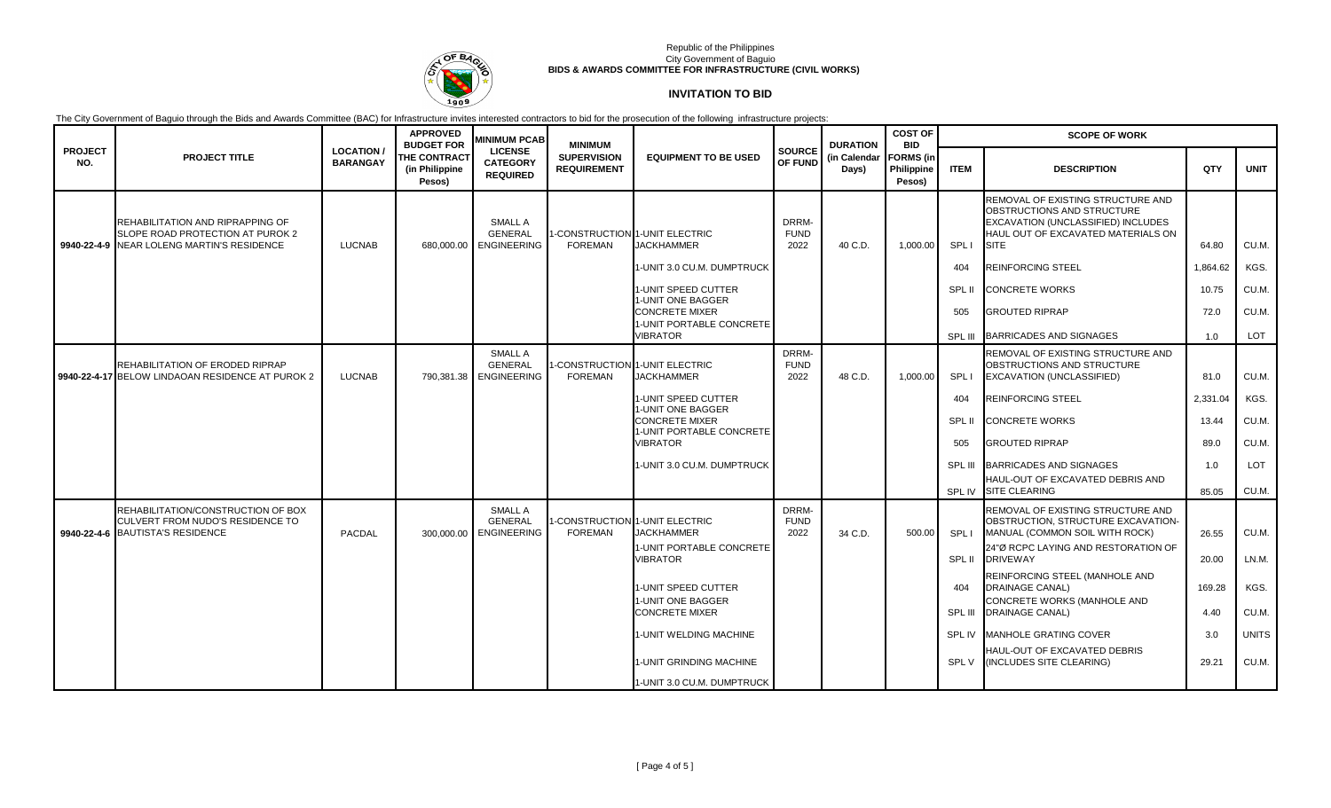

# **INVITATION TO BID**

|                       |                                                                                                                    |                                    | <b>APPROVED</b><br><b>BUDGET FOR</b>            | <b>MINIMUM PCAB</b>                                    | <b>MINIMUM</b>                                   |                                                                                                   |                                     | <b>DURATION</b>       | <b>COST OF</b><br><b>BID</b>             | <b>SCOPE OF WORK</b> |                                                                                                                                                                     |                |                |  |
|-----------------------|--------------------------------------------------------------------------------------------------------------------|------------------------------------|-------------------------------------------------|--------------------------------------------------------|--------------------------------------------------|---------------------------------------------------------------------------------------------------|-------------------------------------|-----------------------|------------------------------------------|----------------------|---------------------------------------------------------------------------------------------------------------------------------------------------------------------|----------------|----------------|--|
| <b>PROJECT</b><br>NO. | <b>PROJECT TITLE</b>                                                                                               | <b>LOCATION</b><br><b>BARANGAY</b> | <b>THE CONTRACT</b><br>(in Philippine<br>Pesos) | <b>LICENSE</b><br><b>CATEGORY</b><br><b>REQUIRED</b>   | <b>SUPERVISION</b><br><b>REQUIREMENT</b>         | <b>EQUIPMENT TO BE USED</b>                                                                       | <b>SOURCE</b><br>OF FUND            | (in Calendar<br>Days) | <b>FORMS</b> (in<br>Philippine<br>Pesos) | <b>ITEM</b>          | <b>DESCRIPTION</b>                                                                                                                                                  | QTY            | <b>UNIT</b>    |  |
|                       | REHABILITATION AND RIPRAPPING OF<br>SLOPE ROAD PROTECTION AT PUROK 2<br>9940-22-4-9 NEAR LOLENG MARTIN'S RESIDENCE | <b>LUCNAB</b>                      | 680.000.00                                      | <b>SMALL A</b><br><b>GENERAL</b><br><b>ENGINEERING</b> | <b>FOREMAN</b>                                   | <b>ECONSTRUCTION 1-UNIT ELECTRIC</b><br><b>JACKHAMMER</b>                                         | <b>DRRM-</b><br><b>FUND</b><br>2022 | 40 C.D.               | 1,000.00                                 | SPL I                | REMOVAL OF EXISTING STRUCTURE AND<br>OBSTRUCTIONS AND STRUCTURE<br>EXCAVATION (UNCLASSIFIED) INCLUDES<br>HAUL OUT OF EXCAVATED MATERIALS ON<br><b>SITE</b>          | 64.80          | CU.M.          |  |
|                       |                                                                                                                    |                                    |                                                 |                                                        |                                                  | 1-UNIT 3.0 CU.M. DUMPTRUCK                                                                        |                                     |                       |                                          | 404                  | <b>REINFORCING STEEL</b>                                                                                                                                            | 1,864.62       | KGS.           |  |
|                       |                                                                                                                    |                                    |                                                 |                                                        |                                                  | 1-UNIT SPEED CUTTER                                                                               |                                     |                       |                                          | SPL II               | <b>CONCRETE WORKS</b>                                                                                                                                               | 10.75          | CU.M.          |  |
|                       |                                                                                                                    |                                    |                                                 |                                                        |                                                  | 1-UNIT ONE BAGGER<br><b>CONCRETE MIXER</b><br>1-UNIT PORTABLE CONCRETE                            |                                     |                       |                                          | 505                  | <b>GROUTED RIPRAP</b>                                                                                                                                               | 72.0           | CU.M.          |  |
|                       |                                                                                                                    |                                    |                                                 |                                                        |                                                  | <b>VIBRATOR</b>                                                                                   |                                     |                       |                                          | SPL III              | <b>BARRICADES AND SIGNAGES</b>                                                                                                                                      | 1.0            | LOT            |  |
|                       | REHABILITATION OF ERODED RIPRAP<br>9940-22-4-17 BELOW LINDAOAN RESIDENCE AT PUROK 2                                | <b>LUCNAB</b>                      | 790.381.38                                      | <b>SMALL A</b><br><b>GENERAL</b><br><b>ENGINEERING</b> | 1-CONSTRUCTION 1-UNIT ELECTRIC<br><b>FOREMAN</b> | <b>JACKHAMMER</b>                                                                                 | DRRM-<br><b>FUND</b><br>2022        | 48 C.D.               | 1,000.00                                 | SPL I                | REMOVAL OF EXISTING STRUCTURE AND<br>OBSTRUCTIONS AND STRUCTURE<br>EXCAVATION (UNCLASSIFIED)                                                                        | 81.0           | CU.M.          |  |
|                       |                                                                                                                    |                                    |                                                 |                                                        |                                                  | 1-UNIT SPEED CUTTER                                                                               |                                     |                       |                                          | 404                  | <b>REINFORCING STEEL</b>                                                                                                                                            | 2,331.04       | KGS.           |  |
|                       |                                                                                                                    |                                    |                                                 |                                                        |                                                  | 1-UNIT ONE BAGGER<br><b>CONCRETE MIXER</b>                                                        |                                     |                       |                                          | SPL II               | <b>CONCRETE WORKS</b>                                                                                                                                               | 13.44          | CU.M.          |  |
|                       |                                                                                                                    |                                    |                                                 |                                                        |                                                  | 1-UNIT PORTABLE CONCRETE<br><b>VIBRATOR</b>                                                       |                                     |                       |                                          | 505                  | <b>GROUTED RIPRAP</b>                                                                                                                                               | 89.0           | CU.M.          |  |
|                       |                                                                                                                    |                                    |                                                 |                                                        |                                                  | 1-UNIT 3.0 CU.M. DUMPTRUCK                                                                        |                                     |                       |                                          | SPL III              | BARRICADES AND SIGNAGES                                                                                                                                             | 1.0            | <b>LOT</b>     |  |
|                       |                                                                                                                    |                                    |                                                 |                                                        |                                                  |                                                                                                   |                                     |                       |                                          | SPL IV               | HAUL-OUT OF EXCAVATED DEBRIS AND<br><b>SITE CLEARING</b>                                                                                                            | 85.05          | CU.M.          |  |
|                       | REHABILITATION/CONSTRUCTION OF BOX<br>CULVERT FROM NUDO'S RESIDENCE TO<br>9940-22-4-6 BAUTISTA'S RESIDENCE         | PACDAL                             | 300,000.00                                      | <b>SMALL A</b><br><b>GENERAL</b><br><b>ENGINEERING</b> | <b>FOREMAN</b>                                   | -CONSTRUCTION 1-UNIT ELECTRIC<br><b>JACKHAMMER</b><br>1-UNIT PORTABLE CONCRETE<br><b>VIBRATOR</b> | DRRM-<br><b>FUND</b><br>2022        | 34 C.D.               | 500.00                                   | SPL I<br>SPL II      | REMOVAL OF EXISTING STRUCTURE AND<br>OBSTRUCTION, STRUCTURE EXCAVATION-<br>MANUAL (COMMON SOIL WITH ROCK)<br>24"Ø RCPC LAYING AND RESTORATION OF<br><b>DRIVEWAY</b> | 26.55<br>20.00 | CU.M.<br>LN.M. |  |
|                       |                                                                                                                    |                                    |                                                 |                                                        |                                                  | 1-UNIT SPEED CUTTER                                                                               |                                     |                       |                                          | 404                  | REINFORCING STEEL (MANHOLE AND<br><b>DRAINAGE CANAL)</b>                                                                                                            | 169.28         | KGS.           |  |
|                       |                                                                                                                    |                                    |                                                 |                                                        |                                                  | 1-UNIT ONE BAGGER<br><b>CONCRETE MIXER</b>                                                        |                                     |                       |                                          | SPL III              | CONCRETE WORKS (MANHOLE AND<br><b>DRAINAGE CANAL)</b>                                                                                                               | 4.40           | CU.M.          |  |
|                       |                                                                                                                    |                                    |                                                 |                                                        |                                                  | 1-UNIT WELDING MACHINE                                                                            |                                     |                       |                                          | SPL IV               | <b>MANHOLE GRATING COVER</b>                                                                                                                                        | 3.0            | <b>UNITS</b>   |  |
|                       |                                                                                                                    |                                    |                                                 |                                                        |                                                  | 1-UNIT GRINDING MACHINE                                                                           |                                     |                       |                                          | SPL V                | HAUL-OUT OF EXCAVATED DEBRIS<br>(INCLUDES SITE CLEARING)                                                                                                            | 29.21          | CU.M.          |  |
|                       |                                                                                                                    |                                    |                                                 |                                                        |                                                  | 1-UNIT 3.0 CU.M. DUMPTRUCK                                                                        |                                     |                       |                                          |                      |                                                                                                                                                                     |                |                |  |